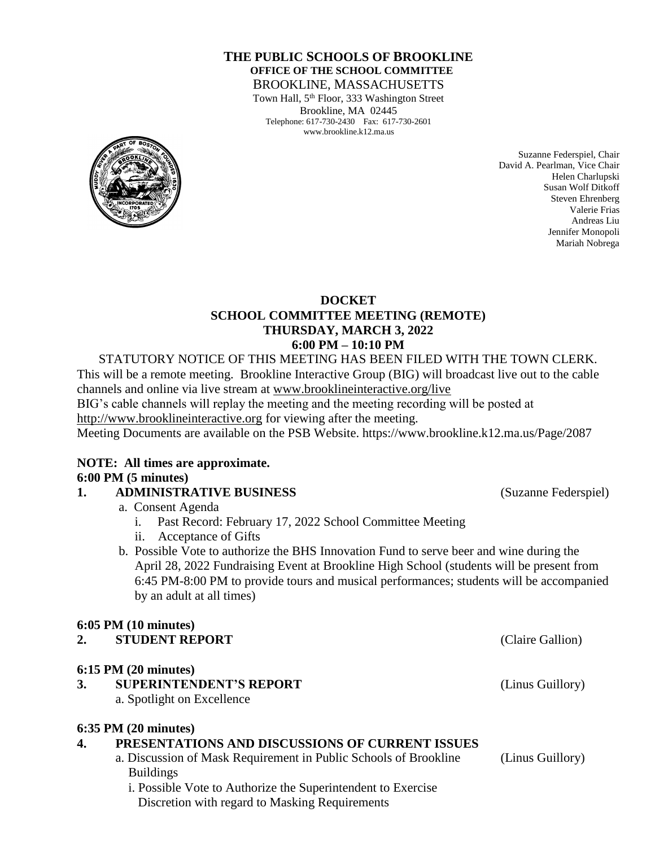#### **THE PUBLIC SCHOOLS OF BROOKLINE OFFICE OF THE SCHOOL COMMITTEE** BROOKLINE, MASSACHUSETTS

Town Hall, 5<sup>th</sup> Floor, 333 Washington Street Brookline, MA 02445 Telephone: 617-730-2430 Fax: 617-730-2601 www.brookline.k12.ma.us



Suzanne Federspiel, Chair David A. Pearlman, Vice Chair Helen Charlupski Susan Wolf Ditkoff Steven Ehrenberg Valerie Frias Andreas Liu Jennifer Monopoli Mariah Nobrega

#### **DOCKET SCHOOL COMMITTEE MEETING (REMOTE) THURSDAY, MARCH 3, 2022 6:00 PM – 10:10 PM**

STATUTORY NOTICE OF THIS MEETING HAS BEEN FILED WITH THE TOWN CLERK. This will be a remote meeting. Brookline Interactive Group (BIG) will broadcast live out to the cable channels and online via live stream at [www.brooklineinteractive.org/live](https://protect-us.mimecast.com/s/nSb0CG6Q8xuLqW1DHYBFG-?domain=brooklineinteractive.org) BIG's cable channels will replay the meeting and the meeting recording will be posted at [http://www.brooklineinteractive.org](https://protect-us.mimecast.com/s/ziZBCER6xvc6nngoFwrIh2?domain=brooklineinteractive.org) for viewing after the meeting. Meeting Documents are available on the PSB Website. https://www.brookline.k12.ma.us/Page/2087

#### **NOTE: All times are approximate. 6:00 PM (5 minutes)**

# **1. ADMINISTRATIVE BUSINESS** (Suzanne Federspiel)

a. Consent Agenda

- i. Past Record: February 17, 2022 School Committee Meeting
- ii. Acceptance of Gifts
- b. Possible Vote to authorize the BHS Innovation Fund to serve beer and wine during the April 28, 2022 Fundraising Event at Brookline High School (students will be present from 6:45 PM-8:00 PM to provide tours and musical performances; students will be accompanied by an adult at all times)

## **6:05 PM (10 minutes)**

| <b>STUDENT REPORT</b><br>◠<br>∠. |  |
|----------------------------------|--|
|----------------------------------|--|

## **6:15 PM (20 minutes)**

**3. SUPERINTENDENT'S REPORT** (Linus Guillory) a. Spotlight on Excellence

# **6:35 PM (20 minutes)**

# **4. PRESENTATIONS AND DISCUSSIONS OF CURRENT ISSUES**

- a. Discussion of Mask Requirement in Public Schools of Brookline (Linus Guillory) Buildings
	- i. Possible Vote to Authorize the Superintendent to Exercise Discretion with regard to Masking Requirements

**(Claire Gallion)**